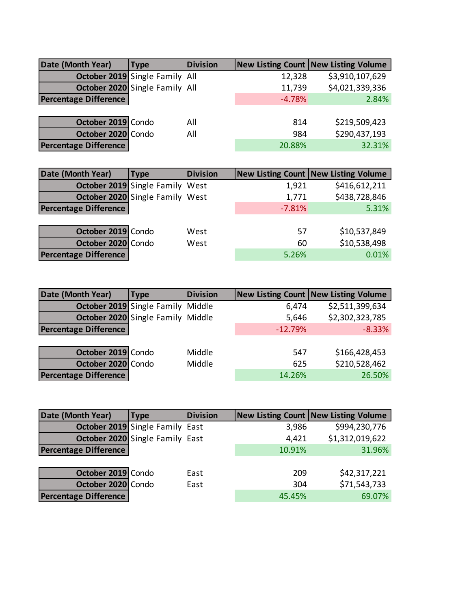| Date (Month Year)            | <b>Type</b>                    | <b>Division</b> |          | New Listing Count New Listing Volume |
|------------------------------|--------------------------------|-----------------|----------|--------------------------------------|
|                              | October 2019 Single Family All |                 | 12,328   | \$3,910,107,629                      |
|                              | October 2020 Single Family All |                 | 11,739   | \$4,021,339,336                      |
| <b>Percentage Difference</b> |                                |                 | $-4.78%$ | 2.84%                                |
|                              |                                |                 |          |                                      |
| October 2019 Condo           |                                | All             | 814      | \$219,509,423                        |
| October 2020 Condo           |                                | All             | 984      | \$290,437,193                        |
| <b>Percentage Difference</b> |                                |                 | 20.88%   | 32.31%                               |

| <b>Type</b>        | <b>Division</b> |                                                                    | New Listing Count   New Listing Volume |
|--------------------|-----------------|--------------------------------------------------------------------|----------------------------------------|
|                    |                 | 1,921                                                              | \$416,612,211                          |
|                    |                 | 1,771                                                              | \$438,728,846                          |
|                    |                 | $-7.81%$                                                           | 5.31%                                  |
|                    |                 |                                                                    |                                        |
| October 2019 Condo | West            | 57                                                                 | \$10,537,849                           |
| October 2020 Condo | West            | 60                                                                 | \$10,538,498                           |
|                    |                 | 5.26%                                                              | 0.01%                                  |
|                    |                 | October 2019 Single Family West<br>October 2020 Single Family West |                                        |

| Date (Month Year)            | <b>Type</b>                              | <b>Division</b> |           | <b>New Listing Count   New Listing Volume</b> |
|------------------------------|------------------------------------------|-----------------|-----------|-----------------------------------------------|
|                              | <b>October 2019</b> Single Family Middle |                 | 6,474     | \$2,511,399,634                               |
|                              | October 2020 Single Family Middle        |                 | 5,646     | \$2,302,323,785                               |
| <b>Percentage Difference</b> |                                          |                 | $-12.79%$ | $-8.33%$                                      |
|                              |                                          |                 |           |                                               |
| October 2019 Condo           |                                          | Middle          | 547       | \$166,428,453                                 |
| October 2020 Condo           |                                          | Middle          | 625       | \$210,528,462                                 |
| <b>Percentage Difference</b> |                                          |                 | 14.26%    | 26.50%                                        |

| Date (Month Year)            | Type                            | <b>Division</b> |        | <b>New Listing Count   New Listing Volume</b> |
|------------------------------|---------------------------------|-----------------|--------|-----------------------------------------------|
|                              | October 2019 Single Family East |                 | 3,986  | \$994,230,776                                 |
|                              | October 2020 Single Family East |                 | 4,421  | \$1,312,019,622                               |
| <b>Percentage Difference</b> |                                 |                 | 10.91% | 31.96%                                        |
|                              |                                 |                 |        |                                               |
| October 2019 Condo           |                                 | East            | 209    | \$42,317,221                                  |
| October 2020 Condo           |                                 | East            | 304    | \$71,543,733                                  |
| <b>Percentage Difference</b> |                                 |                 | 45.45% | 69.07%                                        |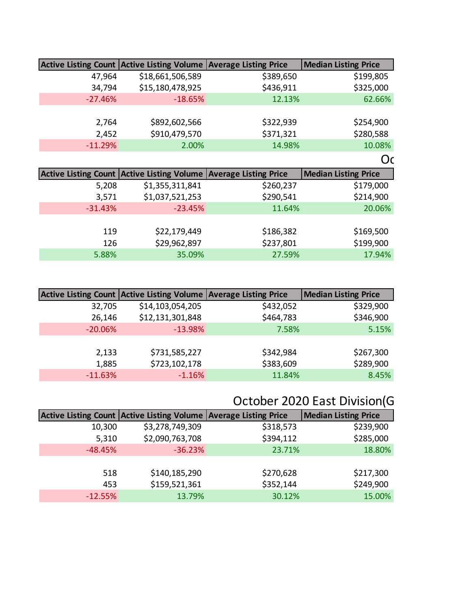|           | Active Listing Count Active Listing Volume Average Listing Price |           | Median Listing Price        |
|-----------|------------------------------------------------------------------|-----------|-----------------------------|
| 47,964    | \$18,661,506,589                                                 | \$389,650 | \$199,805                   |
| 34,794    | \$15,180,478,925                                                 | \$436,911 | \$325,000                   |
| $-27.46%$ | $-18.65%$                                                        | 12.13%    | 62.66%                      |
|           |                                                                  |           |                             |
| 2,764     | \$892,602,566                                                    | \$322,939 | \$254,900                   |
| 2,452     | \$910,479,570                                                    | \$371,321 | \$280,588                   |
| $-11.29%$ | 2.00%                                                            | 14.98%    | 10.08%                      |
|           |                                                                  |           | <b>Oc</b>                   |
|           |                                                                  |           |                             |
|           | Active Listing Count Active Listing Volume Average Listing Price |           | <b>Median Listing Price</b> |
| 5,208     | \$1,355,311,841                                                  | \$260,237 | \$179,000                   |
| 3,571     | \$1,037,521,253                                                  | \$290,541 | \$214,900                   |
| $-31.43%$ | $-23.45%$                                                        | 11.64%    | 20.06%                      |
|           |                                                                  |           |                             |
| 119       | \$22,179,449                                                     | \$186,382 | \$169,500                   |
| 126       | \$29,962,897                                                     | \$237,801 | \$199,900                   |

|           | Active Listing Count Active Listing Volume Average Listing Price |           | <b>Median Listing Price</b> |
|-----------|------------------------------------------------------------------|-----------|-----------------------------|
| 32,705    | \$14,103,054,205                                                 | \$432,052 | \$329,900                   |
| 26,146    | \$12,131,301,848                                                 | \$464,783 | \$346,900                   |
| $-20.06%$ | $-13.98%$                                                        | 7.58%     | 5.15%                       |
|           |                                                                  |           |                             |
| 2,133     | \$731,585,227                                                    | \$342,984 | \$267,300                   |
| 1,885     | \$723,102,178                                                    | \$383,609 | \$289,900                   |
| $-11.63%$ | $-1.16%$                                                         | 11.84%    | 8.45%                       |

## October 2020 East Division(G

|           | Active Listing Count Active Listing Volume Average Listing Price |           | <b>Median Listing Price</b> |
|-----------|------------------------------------------------------------------|-----------|-----------------------------|
| 10,300    | \$3,278,749,309                                                  | \$318,573 | \$239,900                   |
| 5,310     | \$2,090,763,708                                                  | \$394,112 | \$285,000                   |
| $-48.45%$ | $-36.23%$                                                        | 23.71%    | 18.80%                      |
|           |                                                                  |           |                             |
| 518       | \$140,185,290                                                    | \$270,628 | \$217,300                   |
| 453       | \$159,521,361                                                    | \$352,144 | \$249,900                   |
| $-12.55%$ | 13.79%                                                           | 30.12%    | 15.00%                      |
|           |                                                                  |           |                             |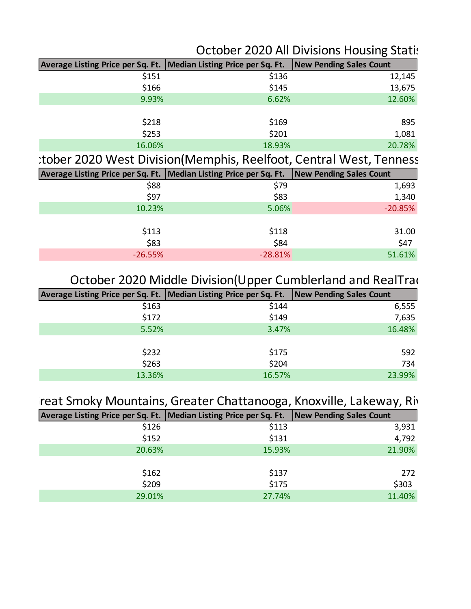### October 2020 All Divisions Housing Statistics

| Average Listing Price per Sq. Ft.   Median Listing Price per Sq. Ft.   New Pending Sales Count |        |        |
|------------------------------------------------------------------------------------------------|--------|--------|
| \$151                                                                                          | \$136  | 12,145 |
| \$166                                                                                          | \$145  | 13,675 |
| 9.93%                                                                                          | 6.62%  | 12.60% |
|                                                                                                |        |        |
| \$218                                                                                          | \$169  | 895    |
| \$253                                                                                          | \$201  | 1,081  |
| 16.06%                                                                                         | 18.93% | 20.78% |

:tober 2020 West Division(Memphis, Reelfoot, Central West, Tenness

| Average Listing Price per Sq. Ft.   Median Listing Price per Sq. Ft.   New Pending Sales Count |           |
|------------------------------------------------------------------------------------------------|-----------|
| \$79                                                                                           | 1,693     |
| \$83                                                                                           | 1,340     |
| 5.06%                                                                                          | $-20.85%$ |
|                                                                                                |           |
| \$118                                                                                          | 31.00     |
| \$84                                                                                           | \$47      |
| $-28.81%$                                                                                      | 51.61%    |
|                                                                                                |           |

#### October 2020 Middle Division(Upper Cumblerland and RealTrac

| Average Listing Price per Sq. Ft.   Median Listing Price per Sq. Ft.   New Pending Sales Count |        |        |
|------------------------------------------------------------------------------------------------|--------|--------|
| \$163                                                                                          | \$144  | 6,555  |
| \$172                                                                                          | \$149  | 7,635  |
| 5.52%                                                                                          | 3.47%  | 16.48% |
|                                                                                                |        |        |
| \$232                                                                                          | \$175  | 592    |
| \$263                                                                                          | \$204  | 734    |
| 13.36%                                                                                         | 16.57% | 23.99% |
|                                                                                                |        |        |

### reat Smoky Mountains, Greater Chattanooga, Knoxville, Lakeway, Riv

| Average Listing Price per Sq. Ft.   Median Listing Price per Sq. Ft.   New Pending Sales Count |        |        |
|------------------------------------------------------------------------------------------------|--------|--------|
| \$126                                                                                          | \$113  | 3,931  |
| \$152                                                                                          | \$131  | 4,792  |
| 20.63%                                                                                         | 15.93% | 21.90% |
|                                                                                                |        |        |
| \$162                                                                                          | \$137  | 272    |
| \$209                                                                                          | \$175  | \$303  |
| 29.01%                                                                                         | 27.74% | 11.40% |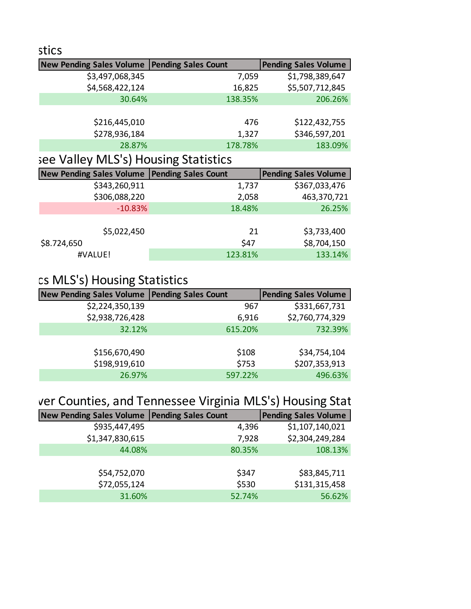| stics                                          |         |                             |
|------------------------------------------------|---------|-----------------------------|
| New Pending Sales Volume   Pending Sales Count |         | <b>Pending Sales Volume</b> |
| \$3,497,068,345                                | 7,059   | \$1,798,389,647             |
| \$4,568,422,124                                | 16,825  | \$5,507,712,845             |
| 30.64%                                         | 138.35% | 206.26%                     |
|                                                |         |                             |
| \$216,445,010                                  | 476     | \$122,432,755               |
| \$278,936,184                                  | 1,327   | \$346,597,201               |
| 28.87%                                         | 178.78% | 183.09%                     |
|                                                |         |                             |

## see Valley MLS's) Housing Statistics

| <b>New Pending Sales Volume</b> | <b>Pending Sales Count</b> | <b>Pending Sales Volume</b> |
|---------------------------------|----------------------------|-----------------------------|
| \$343,260,911                   | 1,737                      | \$367,033,476               |
| \$306,088,220                   | 2,058                      | 463,370,721                 |
| $-10.83%$                       | 18.48%                     | 26.25%                      |
|                                 |                            |                             |
| \$5,022,450                     | 21                         | \$3,733,400                 |
| \$8.724,650                     | \$47                       | \$8,704,150                 |
| #VALUE!                         | 123.81%                    | 133.14%                     |

# cs MLS's) Housing Statistics

| <b>New Pending Sales Volume</b> | <b>Pending Sales Count</b> | <b>Pending Sales Volume</b> |
|---------------------------------|----------------------------|-----------------------------|
| \$2,224,350,139                 | 967                        | \$331,667,731               |
| \$2,938,726,428                 | 6,916                      | \$2,760,774,329             |
| 32.12%                          | 615.20%                    | 732.39%                     |
|                                 |                            |                             |
| \$156,670,490                   | \$108                      | \$34,754,104                |
| \$198,919,610                   | \$753                      | \$207,353,913               |
| 26.97%                          | 597.22%                    | 496.63%                     |

## ver Counties, and Tennessee Virginia MLS's) Housing Stat

| <b>New Pending Sales Volume</b> | <b>Pending Sales Count</b> | <b>Pending Sales Volume</b> |
|---------------------------------|----------------------------|-----------------------------|
| \$935,447,495                   | 4,396                      | \$1,107,140,021             |
| \$1,347,830,615                 | 7,928                      | \$2,304,249,284             |
| 44.08%                          | 80.35%                     | 108.13%                     |
|                                 |                            |                             |
| \$54,752,070                    | \$347                      | \$83,845,711                |
| \$72,055,124                    | \$530                      | \$131,315,458               |
| 31.60%                          | 52.74%                     | 56.62%                      |
|                                 |                            |                             |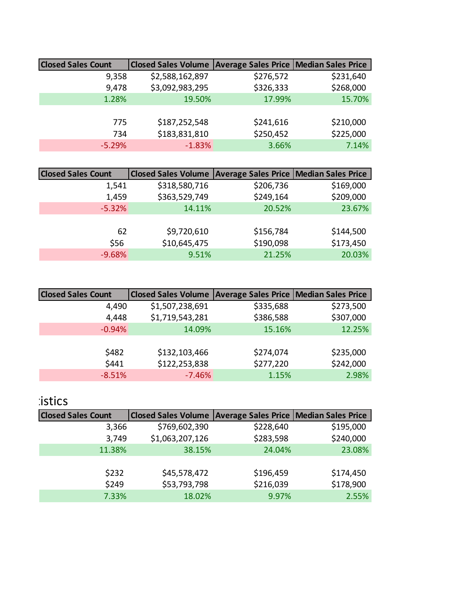| <b>Closed Sales Count</b> | Closed Sales Volume Average Sales Price   Median Sales Price |           |           |
|---------------------------|--------------------------------------------------------------|-----------|-----------|
| 9,358                     | \$2,588,162,897                                              | \$276,572 | \$231,640 |
| 9,478                     | \$3,092,983,295                                              | \$326,333 | \$268,000 |
| 1.28%                     | 19.50%                                                       | 17.99%    | 15.70%    |
|                           |                                                              |           |           |
| 775                       | \$187,252,548                                                | \$241,616 | \$210,000 |
| 734                       | \$183,831,810                                                | \$250,452 | \$225,000 |
| $-5.29%$                  | $-1.83%$                                                     | 3.66%     | 7.14%     |
|                           |                                                              |           |           |

| <b>Closed Sales Count</b> | <b>Closed Sales Volume</b> | <b>Average Sales Price   Median Sales Price</b> |           |
|---------------------------|----------------------------|-------------------------------------------------|-----------|
| 1,541                     | \$318,580,716              | \$206,736                                       | \$169,000 |
| 1,459                     | \$363,529,749              | \$249,164                                       | \$209,000 |
| $-5.32%$                  | 14.11%                     | 20.52%                                          | 23.67%    |
|                           |                            |                                                 |           |
| 62                        | \$9,720,610                | \$156,784                                       | \$144,500 |
| \$56                      | \$10,645,475               | \$190,098                                       | \$173,450 |
| $-9.68%$                  | 9.51%                      | 21.25%                                          | 20.03%    |
|                           |                            |                                                 |           |

| <b>Closed Sales Count</b> | <b>Closed Sales Volume</b> | <b>Average Sales Price   Median Sales Price</b> |           |
|---------------------------|----------------------------|-------------------------------------------------|-----------|
| 4,490                     | \$1,507,238,691            | \$335,688                                       | \$273,500 |
| 4,448                     | \$1,719,543,281            | \$386,588                                       | \$307,000 |
| $-0.94%$                  | 14.09%                     | 15.16%                                          | 12.25%    |
|                           |                            |                                                 |           |
| \$482                     | \$132,103,466              | \$274,074                                       | \$235,000 |
| \$441                     | \$122,253,838              | \$277,220                                       | \$242,000 |
| $-8.51%$                  | $-7.46%$                   | 1.15%                                           | 2.98%     |

#### **Distics**

| <b>Closed Sales Count</b> | Closed Sales Volume   Average Sales Price   Median Sales Price |           |           |
|---------------------------|----------------------------------------------------------------|-----------|-----------|
| 3,366                     | \$769,602,390                                                  | \$228,640 | \$195,000 |
| 3,749                     | \$1,063,207,126                                                | \$283,598 | \$240,000 |
| 11.38%                    | 38.15%                                                         | 24.04%    | 23.08%    |
|                           |                                                                |           |           |
| \$232                     | \$45,578,472                                                   | \$196,459 | \$174,450 |
| \$249                     | \$53,793,798                                                   | \$216,039 | \$178,900 |
| 7.33%                     | 18.02%                                                         | 9.97%     | 2.55%     |
|                           |                                                                |           |           |